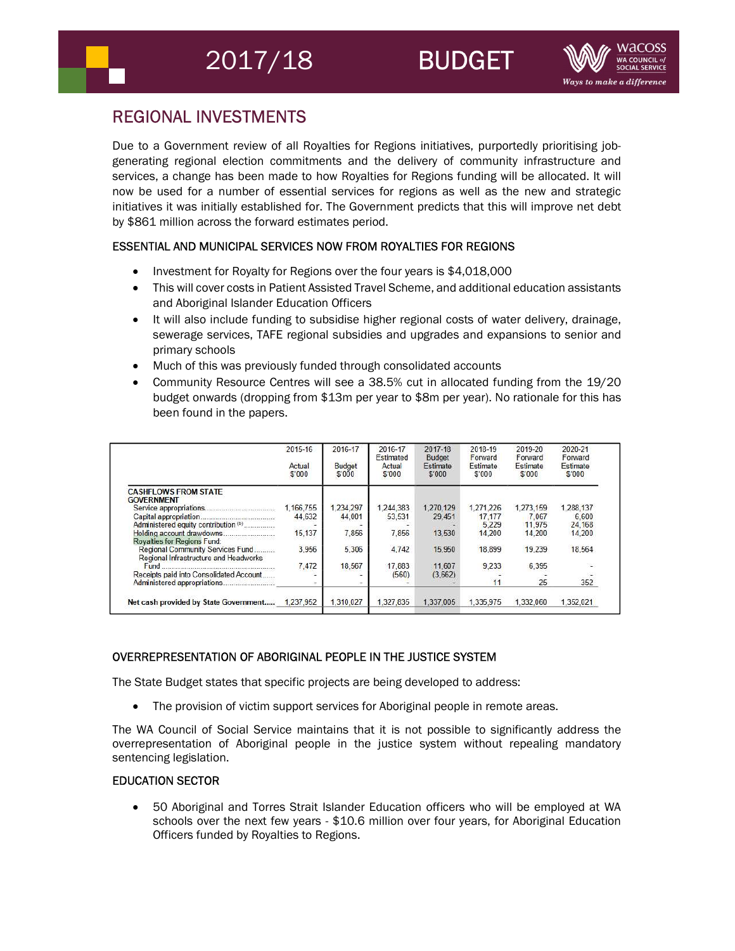# REGIONAL INVESTMENTS

Due to a Government review of all Royalties for Regions initiatives, purportedly prioritising jobgenerating regional election commitments and the delivery of community infrastructure and services, a change has been made to how Royalties for Regions funding will be allocated. It will now be used for a number of essential services for regions as well as the new and strategic initiatives it was initially established for. The Government predicts that this will improve net debt by \$861 million across the forward estimates period.

# ESSENTIAL AND MUNICIPAL SERVICES NOW FROM ROYALTIES FOR REGIONS

- Investment for Royalty for Regions over the four years is \$4,018,000
- This will cover costs in Patient Assisted Travel Scheme, and additional education assistants and Aboriginal Islander Education Officers
- It will also include funding to subsidise higher regional costs of water delivery, drainage, sewerage services, TAFE regional subsidies and upgrades and expansions to senior and primary schools
- Much of this was previously funded through consolidated accounts
- Community Resource Centres will see a 38.5% cut in allocated funding from the 19/20 budget onwards (dropping from \$13m per year to \$8m per year). No rationale for this has been found in the papers.

|                                                                           | 2015-16<br>Actual<br>\$'000 | 2016-17<br><b>Budget</b><br>\$000 | 2016-17<br>Estimated<br>Actual<br>\$'000 | 2017-18<br><b>Budget</b><br>Estimate<br>\$'000 | 2018-19<br>Forward<br>Estimate<br>\$'000 | 2019-20<br>Forward<br>Estimate<br>\$000 | 2020-21<br>Forward<br>Estimate<br>\$'000 |
|---------------------------------------------------------------------------|-----------------------------|-----------------------------------|------------------------------------------|------------------------------------------------|------------------------------------------|-----------------------------------------|------------------------------------------|
|                                                                           |                             |                                   |                                          |                                                |                                          |                                         |                                          |
| <b>CASHFLOWS FROM STATE</b><br><b>GOVERNMENT</b>                          |                             |                                   |                                          |                                                |                                          |                                         |                                          |
|                                                                           | 1.166.755                   | 1.234.297                         | 1.244.383                                | 1,270,129                                      | 1.271.226                                | 1.273.159                               | 1,288,137                                |
|                                                                           | 44,632                      | 44.001                            | 53.531                                   | 29.451                                         | 17.177                                   | 7.067                                   | 6.600                                    |
| Administered equity contribution (b)                                      |                             |                                   |                                          |                                                | 5.229                                    | 11.975                                  | 24.168                                   |
|                                                                           | 15.137                      | 7.856                             | 7.856                                    | 13.530                                         | 14.200                                   | 14,200                                  | 14,200                                   |
| Royalties for Regions Fund:                                               |                             |                                   |                                          |                                                |                                          |                                         |                                          |
| Regional Community Services Fund<br>Regional Infrastructure and Headworks | 3.956                       | 5.306                             | 4.742                                    | 15.950                                         | 18.899                                   | 19.239                                  | 18.564                                   |
|                                                                           | 7,472                       | 18.567                            | 17,883                                   | 11.607                                         | 9.233                                    | 6.395                                   |                                          |
| Receipts paid into Consolidated Account                                   |                             |                                   | (560)                                    | (3.662)                                        |                                          |                                         |                                          |
|                                                                           | -                           |                                   |                                          |                                                | 11                                       | 25                                      | 352                                      |
| Net cash provided by State Government                                     | 1.237.952                   | 1,310,027                         | 1.327.835                                | 1.337.005                                      | 1.335.975                                | 1.332.060                               | 1.352.021                                |

## OVERREPRESENTATION OF ABORIGINAL PEOPLE IN THE JUSTICE SYSTEM

The State Budget states that specific projects are being developed to address:

The provision of victim support services for Aboriginal people in remote areas.

The WA Council of Social Service maintains that it is not possible to significantly address the overrepresentation of Aboriginal people in the justice system without repealing mandatory sentencing legislation.

## EDUCATION SECTOR

 50 Aboriginal and Torres Strait Islander Education officers who will be employed at WA schools over the next few years - \$10.6 million over four years, for Aboriginal Education Officers funded by Royalties to Regions.